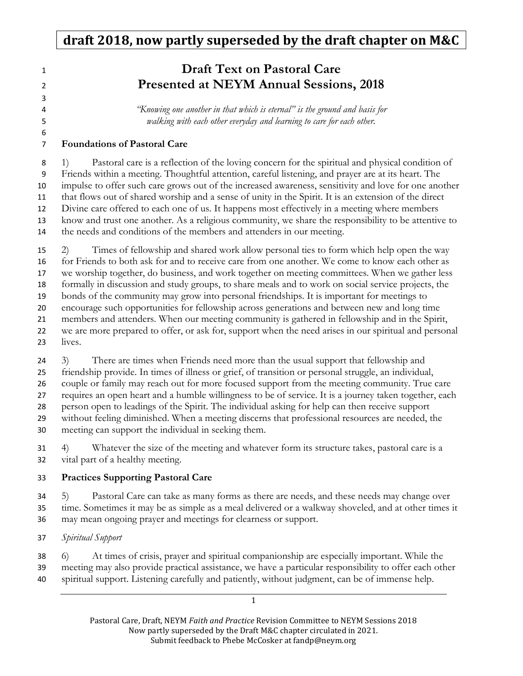### **1 Draft Text on Pastoral Care** Presented at NEYM Annual Sessions, 2018

"Knowing one another in that which is eternal" is the ground and basis for walking with each other everyday and learning to care for each other.

### Foundations of Pastoral Care

1) Pastoral care is a reflection of the loving concern for the spiritual and physical condition of Friends within a meeting. Thoughtful attention, careful listening, and prayer are at its heart. The impulse to offer such care grows out of the increased awareness, sensitivity and love for one another that flows out of shared worship and a sense of unity in the Spirit. It is an extension of the direct Divine care offered to each one of us. It happens most effectively in a meeting where members know and trust one another. As a religious community, we share the responsibility to be attentive to the needs and conditions of the members and attenders in our meeting.

2) Times of fellowship and shared work allow personal ties to form which help open the way for Friends to both ask for and to receive care from one another. We come to know each other as we worship together, do business, and work together on meeting committees. When we gather less formally in discussion and study groups, to share meals and to work on social service projects, the bonds of the community may grow into personal friendships. It is important for meetings to encourage such opportunities for fellowship across generations and between new and long time members and attenders. When our meeting community is gathered in fellowship and in the Spirit, we are more prepared to offer, or ask for, support when the need arises in our spiritual and personal lives. 3) There are times when Friends need more than the usual support that fellowship and

friendship provide. In times of illness or grief, of transition or personal struggle, an individual, couple or family may reach out for more focused support from the meeting community. True care requires an open heart and a humble willingness to be of service. It is a journey taken together, each person open to leadings of the Spirit. The individual asking for help can then receive support without feeling diminished. When a meeting discerns that professional resources are needed, the meeting can support the individual in seeking them.

4) Whatever the size of the meeting and whatever form its structure takes, pastoral care is a vital part of a healthy meeting.

### Practices Supporting Pastoral Care

5) Pastoral Care can take as many forms as there are needs, and these needs may change over time. Sometimes it may be as simple as a meal delivered or a walkway shoveled, and at other times it may mean ongoing prayer and meetings for clearness or support.

Spiritual Support

6) At times of crisis, prayer and spiritual companionship are especially important. While the meeting may also provide practical assistance, we have a particular responsibility to offer each other spiritual support. Listening carefully and patiently, without judgment, can be of immense help.

> Pastoral Care, Draft, NEYM Faith and Practice Revision Committee to NEYM Sessions 2018 Now partly superseded by the Draft M&C chapter circulated in 2021. Submit feedback to Phebe McCosker at fandp@neym.org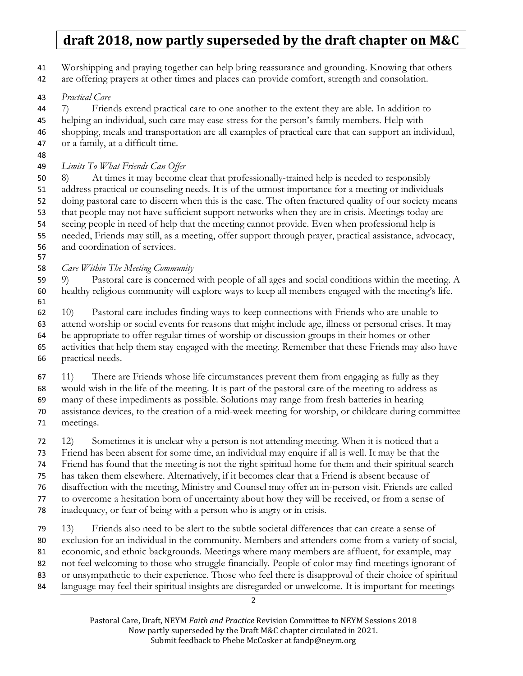Worshipping and praying together can help bring reassurance and grounding. Knowing that others

- are offering prayers at other times and places can provide comfort, strength and consolation.
- Practical Care

7) Friends extend practical care to one another to the extent they are able. In addition to

helping an individual, such care may ease stress for the person's family members. Help with

shopping, meals and transportation are all examples of practical care that can support an individual, or a family, at a difficult time.

Limits To What Friends Can Offer

8) At times it may become clear that professionally-trained help is needed to responsibly address practical or counseling needs. It is of the utmost importance for a meeting or individuals doing pastoral care to discern when this is the case. The often fractured quality of our society means that people may not have sufficient support networks when they are in crisis. Meetings today are seeing people in need of help that the meeting cannot provide. Even when professional help is needed, Friends may still, as a meeting, offer support through prayer, practical assistance, advocacy, and coordination of services.

Care Within The Meeting Community

9) Pastoral care is concerned with people of all ages and social conditions within the meeting. A healthy religious community will explore ways to keep all members engaged with the meeting's life. 

10) Pastoral care includes finding ways to keep connections with Friends who are unable to attend worship or social events for reasons that might include age, illness or personal crises. It may be appropriate to offer regular times of worship or discussion groups in their homes or other activities that help them stay engaged with the meeting. Remember that these Friends may also have practical needs.

11) There are Friends whose life circumstances prevent them from engaging as fully as they

would wish in the life of the meeting. It is part of the pastoral care of the meeting to address as many of these impediments as possible. Solutions may range from fresh batteries in hearing

assistance devices, to the creation of a mid-week meeting for worship, or childcare during committee meetings.

12) Sometimes it is unclear why a person is not attending meeting. When it is noticed that a Friend has been absent for some time, an individual may enquire if all is well. It may be that the Friend has found that the meeting is not the right spiritual home for them and their spiritual search has taken them elsewhere. Alternatively, if it becomes clear that a Friend is absent because of disaffection with the meeting, Ministry and Counsel may offer an in-person visit. Friends are called to overcome a hesitation born of uncertainty about how they will be received, or from a sense of inadequacy, or fear of being with a person who is angry or in crisis.

13) Friends also need to be alert to the subtle societal differences that can create a sense of exclusion for an individual in the community. Members and attenders come from a variety of social, economic, and ethnic backgrounds. Meetings where many members are affluent, for example, may not feel welcoming to those who struggle financially. People of color may find meetings ignorant of or unsympathetic to their experience. Those who feel there is disapproval of their choice of spiritual 84 language may feel their spiritual insights are disregarded or unwelcome. It is important for meetings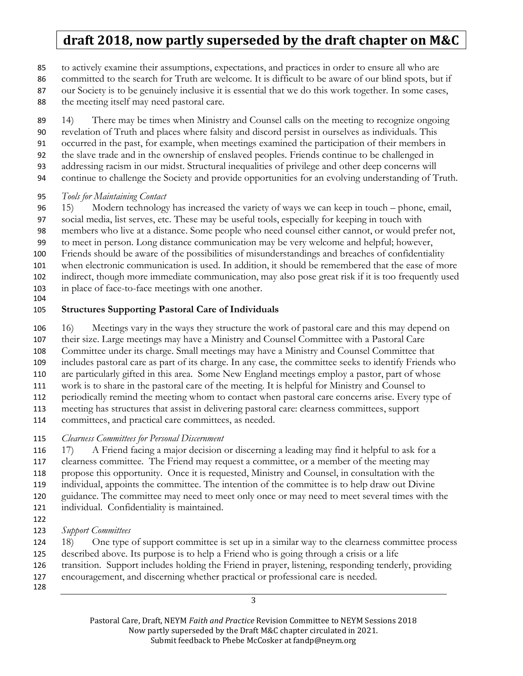to actively examine their assumptions, expectations, and practices in order to ensure all who are

committed to the search for Truth are welcome. It is difficult to be aware of our blind spots, but if

our Society is to be genuinely inclusive it is essential that we do this work together. In some cases,

88 the meeting itself may need pastoral care.

14) There may be times when Ministry and Counsel calls on the meeting to recognize ongoing revelation of Truth and places where falsity and discord persist in ourselves as individuals. This occurred in the past, for example, when meetings examined the participation of their members in the slave trade and in the ownership of enslaved peoples. Friends continue to be challenged in addressing racism in our midst. Structural inequalities of privilege and other deep concerns will continue to challenge the Society and provide opportunities for an evolving understanding of Truth.

### Tools for Maintaining Contact

15) Modern technology has increased the variety of ways we can keep in touch – phone, email,

social media, list serves, etc. These may be useful tools, especially for keeping in touch with

members who live at a distance. Some people who need counsel either cannot, or would prefer not,

to meet in person. Long distance communication may be very welcome and helpful; however,

- Friends should be aware of the possibilities of misunderstandings and breaches of confidentiality
- when electronic communication is used. In addition, it should be remembered that the ease of more indirect, though more immediate communication, may also pose great risk if it is too frequently used
- in place of face-to-face meetings with one another.
- 

### Structures Supporting Pastoral Care of Individuals

16) Meetings vary in the ways they structure the work of pastoral care and this may depend on

their size. Large meetings may have a Ministry and Counsel Committee with a Pastoral Care

Committee under its charge. Small meetings may have a Ministry and Counsel Committee that

includes pastoral care as part of its charge. In any case, the committee seeks to identify Friends who

are particularly gifted in this area. Some New England meetings employ a pastor, part of whose

work is to share in the pastoral care of the meeting. It is helpful for Ministry and Counsel to

periodically remind the meeting whom to contact when pastoral care concerns arise. Every type of meeting has structures that assist in delivering pastoral care: clearness committees, support

committees, and practical care committees, as needed.

115 Clearness Committees for Personal Discernment

17) A Friend facing a major decision or discerning a leading may find it helpful to ask for a clearness committee. The Friend may request a committee, or a member of the meeting may propose this opportunity. Once it is requested, Ministry and Counsel, in consultation with the individual, appoints the committee. The intention of the committee is to help draw out Divine

guidance. The committee may need to meet only once or may need to meet several times with the

- individual. Confidentiality is maintained.
- 
- 123 Support Committees

18) One type of support committee is set up in a similar way to the clearness committee process described above. Its purpose is to help a Friend who is going through a crisis or a life

- transition. Support includes holding the Friend in prayer, listening, responding tenderly, providing
- encouragement, and discerning whether practical or professional care is needed.
-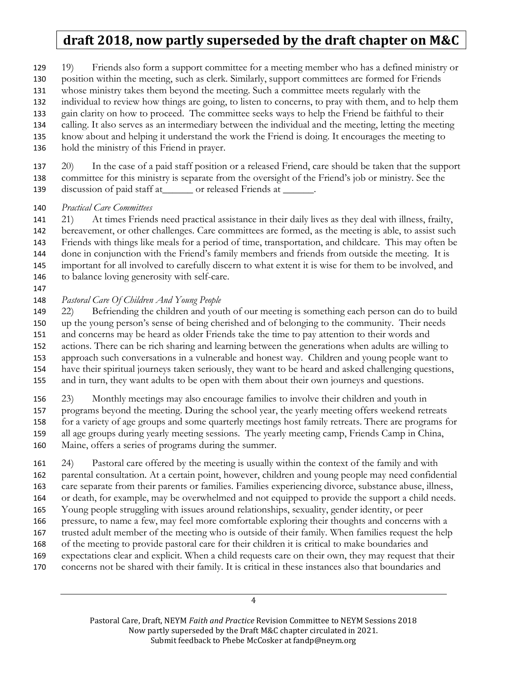19) Friends also form a support committee for a meeting member who has a defined ministry or position within the meeting, such as clerk. Similarly, support committees are formed for Friends whose ministry takes them beyond the meeting. Such a committee meets regularly with the individual to review how things are going, to listen to concerns, to pray with them, and to help them gain clarity on how to proceed. The committee seeks ways to help the Friend be faithful to their calling. It also serves as an intermediary between the individual and the meeting, letting the meeting know about and helping it understand the work the Friend is doing. It encourages the meeting to

hold the ministry of this Friend in prayer.

20) In the case of a paid staff position or a released Friend, care should be taken that the support committee for this ministry is separate from the oversight of the Friend's job or ministry. See the 139 discussion of paid staff at  $\qquad$  or released Friends at  $\qquad$ .

#### 140 Practical Care Committees

21) At times Friends need practical assistance in their daily lives as they deal with illness, frailty, bereavement, or other challenges. Care committees are formed, as the meeting is able, to assist such Friends with things like meals for a period of time, transportation, and childcare. This may often be done in conjunction with the Friend's family members and friends from outside the meeting. It is important for all involved to carefully discern to what extent it is wise for them to be involved, and to balance loving generosity with self-care.

#### Pastoral Care Of Children And Young People

22) Befriending the children and youth of our meeting is something each person can do to build up the young person's sense of being cherished and of belonging to the community. Their needs and concerns may be heard as older Friends take the time to pay attention to their words and actions. There can be rich sharing and learning between the generations when adults are willing to approach such conversations in a vulnerable and honest way. Children and young people want to have their spiritual journeys taken seriously, they want to be heard and asked challenging questions, and in turn, they want adults to be open with them about their own journeys and questions.

23) Monthly meetings may also encourage families to involve their children and youth in programs beyond the meeting. During the school year, the yearly meeting offers weekend retreats for a variety of age groups and some quarterly meetings host family retreats. There are programs for all age groups during yearly meeting sessions. The yearly meeting camp, Friends Camp in China, Maine, offers a series of programs during the summer.

24) Pastoral care offered by the meeting is usually within the context of the family and with parental consultation. At a certain point, however, children and young people may need confidential care separate from their parents or families. Families experiencing divorce, substance abuse, illness, or death, for example, may be overwhelmed and not equipped to provide the support a child needs. Young people struggling with issues around relationships, sexuality, gender identity, or peer pressure, to name a few, may feel more comfortable exploring their thoughts and concerns with a trusted adult member of the meeting who is outside of their family. When families request the help of the meeting to provide pastoral care for their children it is critical to make boundaries and expectations clear and explicit. When a child requests care on their own, they may request that their concerns not be shared with their family. It is critical in these instances also that boundaries and

Pastoral Care, Draft, NEYM Faith and Practice Revision Committee to NEYM Sessions 2018 Now partly superseded by the Draft M&C chapter circulated in 2021. Submit feedback to Phebe McCosker at fandp@neym.org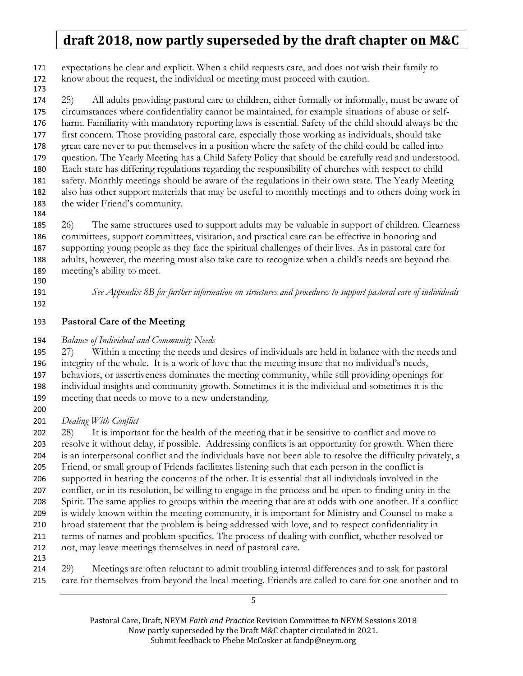expectations be clear and explicit. When a child requests care, and does not wish their family to know about the request, the individual or meeting must proceed with caution.

25) All adults providing pastoral care to children, either formally or informally, must be aware of circumstances where confidentiality cannot be maintained, for example situations of abuse or self-harm. Familiarity with mandatory reporting laws is essential. Safety of the child should always be the first concern. Those providing pastoral care, especially those working as individuals, should take great care never to put themselves in a position where the safety of the child could be called into question. The Yearly Meeting has a Child Safety Policy that should be carefully read and understood. Each state has differing regulations regarding the responsibility of churches with respect to child safety. Monthly meetings should be aware of the regulations in their own state. The Yearly Meeting also has other support materials that may be useful to monthly meetings and to others doing work in the wider Friend's community.

26) The same structures used to support adults may be valuable in support of children. Clearness committees, support committees, visitation, and practical care can be effective in honoring and supporting young people as they face the spiritual challenges of their lives. As in pastoral care for adults, however, the meeting must also take care to recognize when a child's needs are beyond the meeting's ability to meet.

- 
- 

191 See Appendix 8B for further information on structures and procedures to support pastoral care of individuals

#### Pastoral Care of the Meeting

#### 194 Balance of Individual and Community Needs

27) Within a meeting the needs and desires of individuals are held in balance with the needs and integrity of the whole. It is a work of love that the meeting insure that no individual's needs, behaviors, or assertiveness dominates the meeting community, while still providing openings for individual insights and community growth. Sometimes it is the individual and sometimes it is the meeting that needs to move to a new understanding.

#### 201 Dealing With Conflict

202 28) It is important for the health of the meeting that it be sensitive to conflict and move to resolve it without delay, if possible. Addressing conflicts is an opportunity for growth. When there is an interpersonal conflict and the individuals have not been able to resolve the difficulty privately, a Friend, or small group of Friends facilitates listening such that each person in the conflict is supported in hearing the concerns of the other. It is essential that all individuals involved in the conflict, or in its resolution, be willing to engage in the process and be open to finding unity in the Spirit. The same applies to groups within the meeting that are at odds with one another. If a conflict is widely known within the meeting community, it is important for Ministry and Counsel to make a broad statement that the problem is being addressed with love, and to respect confidentiality in terms of names and problem specifics. The process of dealing with conflict, whether resolved or not, may leave meetings themselves in need of pastoral care. 

29) Meetings are often reluctant to admit troubling internal differences and to ask for pastoral care for themselves from beyond the local meeting. Friends are called to care for one another and to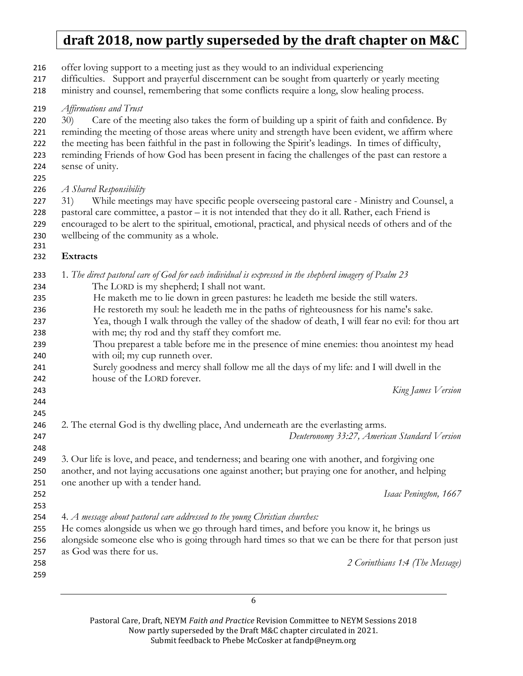offer loving support to a meeting just as they would to an individual experiencing

difficulties. Support and prayerful discernment can be sought from quarterly or yearly meeting

 ministry and counsel, remembering that some conflicts require a long, slow healing process. 219 Affirmations and Trust 220 30) Care of the meeting also takes the form of building up a spirit of faith and confidence. By reminding the meeting of those areas where unity and strength have been evident, we affirm where the meeting has been faithful in the past in following the Spirit's leadings. In times of difficulty, reminding Friends of how God has been present in facing the challenges of the past can restore a sense of unity. 226 A Shared Responsibility 227 31) While meetings may have specific people overseeing pastoral care - Ministry and Counsel, a pastoral care committee, a pastor – it is not intended that they do it all. Rather, each Friend is encouraged to be alert to the spiritual, emotional, practical, and physical needs of others and of the wellbeing of the community as a whole. Extracts 233 1. The direct pastoral care of God for each individual is expressed in the shepherd imagery of Psalm 23 The LORD is my shepherd; I shall not want. He maketh me to lie down in green pastures: he leadeth me beside the still waters. He restoreth my soul: he leadeth me in the paths of righteousness for his name's sake. Yea, though I walk through the valley of the shadow of death, I will fear no evil: for thou art with me; thy rod and thy staff they comfort me. Thou preparest a table before me in the presence of mine enemies: thou anointest my head with oil; my cup runneth over. Surely goodness and mercy shall follow me all the days of my life: and I will dwell in the house of the LORD forever. King James Version 2. The eternal God is thy dwelling place, And underneath are the everlasting arms. Deuteronomy 33:27, American Standard Version 3. Our life is love, and peace, and tenderness; and bearing one with another, and forgiving one another, and not laying accusations one against another; but praying one for another, and helping one another up with a tender hand. Isaac Penington, 1667 254 4. A message about pastoral care addressed to the young Christian churches: He comes alongside us when we go through hard times, and before you know it, he brings us alongside someone else who is going through hard times so that we can be there for that person just as God was there for us. 2 Corinthians 1:4 (The Message)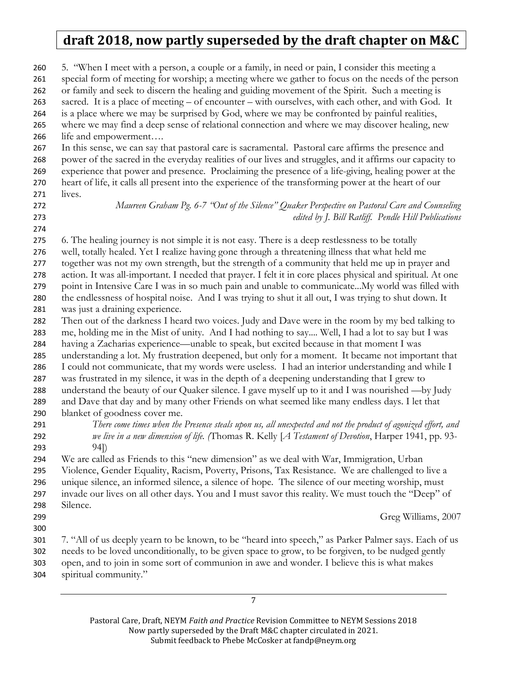| 260<br>261<br>262<br>263<br>264<br>265<br>266<br>267<br>268<br>269<br>270 | 5. "When I meet with a person, a couple or a family, in need or pain, I consider this meeting a<br>special form of meeting for worship; a meeting where we gather to focus on the needs of the person<br>or family and seek to discern the healing and guiding movement of the Spirit. Such a meeting is<br>sacred. It is a place of meeting – of encounter – with ourselves, with each other, and with God. It<br>is a place where we may be surprised by God, where we may be confronted by painful realities,<br>where we may find a deep sense of relational connection and where we may discover healing, new<br>life and empowerment<br>In this sense, we can say that pastoral care is sacramental. Pastoral care affirms the presence and<br>power of the sacred in the everyday realities of our lives and struggles, and it affirms our capacity to<br>experience that power and presence. Proclaiming the presence of a life-giving, healing power at the<br>heart of life, it calls all present into the experience of the transforming power at the heart of our |
|---------------------------------------------------------------------------|-------------------------------------------------------------------------------------------------------------------------------------------------------------------------------------------------------------------------------------------------------------------------------------------------------------------------------------------------------------------------------------------------------------------------------------------------------------------------------------------------------------------------------------------------------------------------------------------------------------------------------------------------------------------------------------------------------------------------------------------------------------------------------------------------------------------------------------------------------------------------------------------------------------------------------------------------------------------------------------------------------------------------------------------------------------------------------|
| 271                                                                       | lives.                                                                                                                                                                                                                                                                                                                                                                                                                                                                                                                                                                                                                                                                                                                                                                                                                                                                                                                                                                                                                                                                        |
| 272                                                                       | Maureen Graham Pg. 6-7 "Out of the Silence" Quaker Perspective on Pastoral Care and Counseling                                                                                                                                                                                                                                                                                                                                                                                                                                                                                                                                                                                                                                                                                                                                                                                                                                                                                                                                                                                |
| 273                                                                       | edited by J. Bill Ratliff. Pendle Hill Publications                                                                                                                                                                                                                                                                                                                                                                                                                                                                                                                                                                                                                                                                                                                                                                                                                                                                                                                                                                                                                           |
| 274                                                                       |                                                                                                                                                                                                                                                                                                                                                                                                                                                                                                                                                                                                                                                                                                                                                                                                                                                                                                                                                                                                                                                                               |
| 275                                                                       | 6. The healing journey is not simple it is not easy. There is a deep restlessness to be totally                                                                                                                                                                                                                                                                                                                                                                                                                                                                                                                                                                                                                                                                                                                                                                                                                                                                                                                                                                               |
| 276                                                                       | well, totally healed. Yet I realize having gone through a threatening illness that what held me                                                                                                                                                                                                                                                                                                                                                                                                                                                                                                                                                                                                                                                                                                                                                                                                                                                                                                                                                                               |
| 277                                                                       | together was not my own strength, but the strength of a community that held me up in prayer and                                                                                                                                                                                                                                                                                                                                                                                                                                                                                                                                                                                                                                                                                                                                                                                                                                                                                                                                                                               |
| 278                                                                       | action. It was all-important. I needed that prayer. I felt it in core places physical and spiritual. At one                                                                                                                                                                                                                                                                                                                                                                                                                                                                                                                                                                                                                                                                                                                                                                                                                                                                                                                                                                   |
| 279                                                                       | point in Intensive Care I was in so much pain and unable to communicateMy world was filled with                                                                                                                                                                                                                                                                                                                                                                                                                                                                                                                                                                                                                                                                                                                                                                                                                                                                                                                                                                               |
| 280                                                                       | the endlessness of hospital noise. And I was trying to shut it all out, I was trying to shut down. It                                                                                                                                                                                                                                                                                                                                                                                                                                                                                                                                                                                                                                                                                                                                                                                                                                                                                                                                                                         |
| 281                                                                       | was just a draining experience.                                                                                                                                                                                                                                                                                                                                                                                                                                                                                                                                                                                                                                                                                                                                                                                                                                                                                                                                                                                                                                               |
| 282                                                                       | Then out of the darkness I heard two voices. Judy and Dave were in the room by my bed talking to                                                                                                                                                                                                                                                                                                                                                                                                                                                                                                                                                                                                                                                                                                                                                                                                                                                                                                                                                                              |
| 283                                                                       | me, holding me in the Mist of unity. And I had nothing to say Well, I had a lot to say but I was                                                                                                                                                                                                                                                                                                                                                                                                                                                                                                                                                                                                                                                                                                                                                                                                                                                                                                                                                                              |
| 284                                                                       | having a Zacharias experience—unable to speak, but excited because in that moment I was                                                                                                                                                                                                                                                                                                                                                                                                                                                                                                                                                                                                                                                                                                                                                                                                                                                                                                                                                                                       |
| 285                                                                       | understanding a lot. My frustration deepened, but only for a moment. It became not important that                                                                                                                                                                                                                                                                                                                                                                                                                                                                                                                                                                                                                                                                                                                                                                                                                                                                                                                                                                             |
| 286                                                                       | I could not communicate, that my words were useless. I had an interior understanding and while I                                                                                                                                                                                                                                                                                                                                                                                                                                                                                                                                                                                                                                                                                                                                                                                                                                                                                                                                                                              |
| 287                                                                       | was frustrated in my silence, it was in the depth of a deepening understanding that I grew to                                                                                                                                                                                                                                                                                                                                                                                                                                                                                                                                                                                                                                                                                                                                                                                                                                                                                                                                                                                 |
| 288                                                                       | understand the beauty of our Quaker silence. I gave myself up to it and I was nourished -by Judy                                                                                                                                                                                                                                                                                                                                                                                                                                                                                                                                                                                                                                                                                                                                                                                                                                                                                                                                                                              |
| 289                                                                       | and Dave that day and by many other Friends on what seemed like many endless days. I let that                                                                                                                                                                                                                                                                                                                                                                                                                                                                                                                                                                                                                                                                                                                                                                                                                                                                                                                                                                                 |
| 290                                                                       | blanket of goodness cover me.                                                                                                                                                                                                                                                                                                                                                                                                                                                                                                                                                                                                                                                                                                                                                                                                                                                                                                                                                                                                                                                 |
| 291                                                                       | There come times when the Presence steals upon us, all unexpected and not the product of agonized effort, and                                                                                                                                                                                                                                                                                                                                                                                                                                                                                                                                                                                                                                                                                                                                                                                                                                                                                                                                                                 |
| 292                                                                       | we live in a new dimension of life. (Thomas R. Kelly [A Testament of Devotion, Harper 1941, pp. 93-                                                                                                                                                                                                                                                                                                                                                                                                                                                                                                                                                                                                                                                                                                                                                                                                                                                                                                                                                                           |
| 293                                                                       | 94])                                                                                                                                                                                                                                                                                                                                                                                                                                                                                                                                                                                                                                                                                                                                                                                                                                                                                                                                                                                                                                                                          |
| 294                                                                       | We are called as Friends to this "new dimension" as we deal with War, Immigration, Urban                                                                                                                                                                                                                                                                                                                                                                                                                                                                                                                                                                                                                                                                                                                                                                                                                                                                                                                                                                                      |
| 295                                                                       | Violence, Gender Equality, Racism, Poverty, Prisons, Tax Resistance. We are challenged to live a                                                                                                                                                                                                                                                                                                                                                                                                                                                                                                                                                                                                                                                                                                                                                                                                                                                                                                                                                                              |
| 296                                                                       | unique silence, an informed silence, a silence of hope. The silence of our meeting worship, must                                                                                                                                                                                                                                                                                                                                                                                                                                                                                                                                                                                                                                                                                                                                                                                                                                                                                                                                                                              |
| 297                                                                       | invade our lives on all other days. You and I must savor this reality. We must touch the "Deep" of                                                                                                                                                                                                                                                                                                                                                                                                                                                                                                                                                                                                                                                                                                                                                                                                                                                                                                                                                                            |
| 298                                                                       | Silence.                                                                                                                                                                                                                                                                                                                                                                                                                                                                                                                                                                                                                                                                                                                                                                                                                                                                                                                                                                                                                                                                      |
| 299                                                                       | Greg Williams, 2007                                                                                                                                                                                                                                                                                                                                                                                                                                                                                                                                                                                                                                                                                                                                                                                                                                                                                                                                                                                                                                                           |
| 300                                                                       |                                                                                                                                                                                                                                                                                                                                                                                                                                                                                                                                                                                                                                                                                                                                                                                                                                                                                                                                                                                                                                                                               |
| 301                                                                       | 7. "All of us deeply yearn to be known, to be "heard into speech," as Parker Palmer says. Each of us                                                                                                                                                                                                                                                                                                                                                                                                                                                                                                                                                                                                                                                                                                                                                                                                                                                                                                                                                                          |
| 302                                                                       | needs to be loved unconditionally, to be given space to grow, to be forgiven, to be nudged gently                                                                                                                                                                                                                                                                                                                                                                                                                                                                                                                                                                                                                                                                                                                                                                                                                                                                                                                                                                             |
| 303                                                                       | open, and to join in some sort of communion in awe and wonder. I believe this is what makes                                                                                                                                                                                                                                                                                                                                                                                                                                                                                                                                                                                                                                                                                                                                                                                                                                                                                                                                                                                   |
| 304                                                                       | spiritual community."                                                                                                                                                                                                                                                                                                                                                                                                                                                                                                                                                                                                                                                                                                                                                                                                                                                                                                                                                                                                                                                         |
|                                                                           |                                                                                                                                                                                                                                                                                                                                                                                                                                                                                                                                                                                                                                                                                                                                                                                                                                                                                                                                                                                                                                                                               |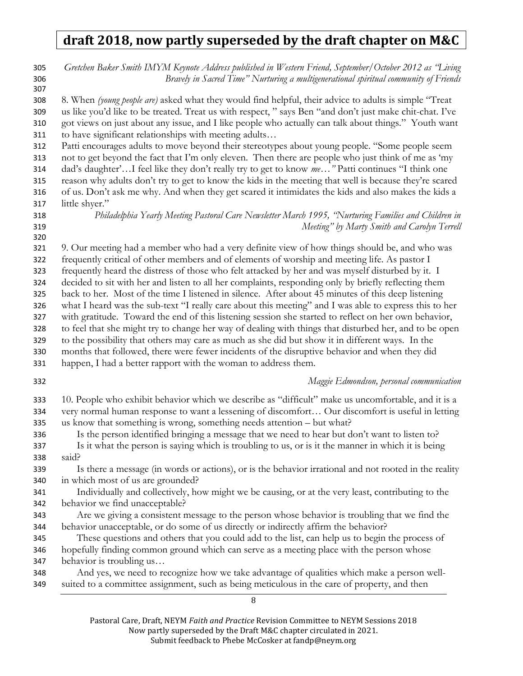| 305<br>306<br>307 | Gretchen Baker Smith IMYM Keynote Address published in Western Friend, September/October 2012 as "Living<br>Bravely in Sacred Time" Nurturing a multigenerational spiritual community of Friends       |
|-------------------|--------------------------------------------------------------------------------------------------------------------------------------------------------------------------------------------------------|
| 308               | 8. When (young people are) asked what they would find helpful, their advice to adults is simple "Treat                                                                                                 |
| 309               | us like you'd like to be treated. Treat us with respect, " says Ben "and don't just make chit-chat. I've                                                                                               |
| 310               | got views on just about any issue, and I like people who actually can talk about things." Youth want                                                                                                   |
| 311               | to have significant relationships with meeting adults                                                                                                                                                  |
| 312               | Patti encourages adults to move beyond their stereotypes about young people. "Some people seem                                                                                                         |
| 313<br>314        | not to get beyond the fact that I'm only eleven. Then there are people who just think of me as 'my<br>dad's daughter'I feel like they don't really try to get to know me" Patti continues "I think one |
| 315               | reason why adults don't try to get to know the kids in the meeting that well is because they're scared                                                                                                 |
| 316               | of us. Don't ask me why. And when they get scared it intimidates the kids and also makes the kids a                                                                                                    |
| 317               | little shyer."                                                                                                                                                                                         |
| 318               | Philadelphia Yearly Meeting Pastoral Care Newsletter March 1995, 'Nurturing Families and Children in                                                                                                   |
| 319<br>320        | Meeting" by Marty Smith and Carolyn Terrell                                                                                                                                                            |
| 321               | 9. Our meeting had a member who had a very definite view of how things should be, and who was                                                                                                          |
| 322               | frequently critical of other members and of elements of worship and meeting life. As pastor I                                                                                                          |
| 323               | frequently heard the distress of those who felt attacked by her and was myself disturbed by it. I                                                                                                      |
| 324               | decided to sit with her and listen to all her complaints, responding only by briefly reflecting them                                                                                                   |
| 325               | back to her. Most of the time I listened in silence. After about 45 minutes of this deep listening                                                                                                     |
| 326               | what I heard was the sub-text "I really care about this meeting" and I was able to express this to her                                                                                                 |
| 327               | with gratitude. Toward the end of this listening session she started to reflect on her own behavior,                                                                                                   |
| 328               | to feel that she might try to change her way of dealing with things that disturbed her, and to be open                                                                                                 |
| 329               | to the possibility that others may care as much as she did but show it in different ways. In the                                                                                                       |
| 330               | months that followed, there were fewer incidents of the disruptive behavior and when they did                                                                                                          |
| 331               | happen, I had a better rapport with the woman to address them.                                                                                                                                         |
| 332               | Maggie Edmondson, personal communication                                                                                                                                                               |
| 333               | 10. People who exhibit behavior which we describe as "difficult" make us uncomfortable, and it is a                                                                                                    |
| 334<br>335        | very normal human response to want a lessening of discomfort Our discomfort is useful in letting<br>us know that something is wrong, something needs attention – but what?                             |
| 336               | Is the person identified bringing a message that we need to hear but don't want to listen to?                                                                                                          |
| 337               | Is it what the person is saying which is troubling to us, or is it the manner in which it is being                                                                                                     |
| 338               | said?                                                                                                                                                                                                  |
| 339               | Is there a message (in words or actions), or is the behavior irrational and not rooted in the reality                                                                                                  |
| 340               | in which most of us are grounded?                                                                                                                                                                      |
| 341               | Individually and collectively, how might we be causing, or at the very least, contributing to the                                                                                                      |
| 342               | behavior we find unacceptable?                                                                                                                                                                         |
| 343               | Are we giving a consistent message to the person whose behavior is troubling that we find the                                                                                                          |
| 344               | behavior unacceptable, or do some of us directly or indirectly affirm the behavior?                                                                                                                    |
| 345               | These questions and others that you could add to the list, can help us to begin the process of                                                                                                         |
| 346               | hopefully finding common ground which can serve as a meeting place with the person whose                                                                                                               |
| 347               | behavior is troubling us                                                                                                                                                                               |
| 348               | And yes, we need to recognize how we take advantage of qualities which make a person well-                                                                                                             |
| 349               | suited to a committee assignment, such as being meticulous in the care of property, and then                                                                                                           |

Pastoral Care, Draft, NEYM Faith and Practice Revision Committee to NEYM Sessions 2018 Now partly superseded by the Draft M&C chapter circulated in 2021. Submit feedback to Phebe McCosker at fandp@neym.org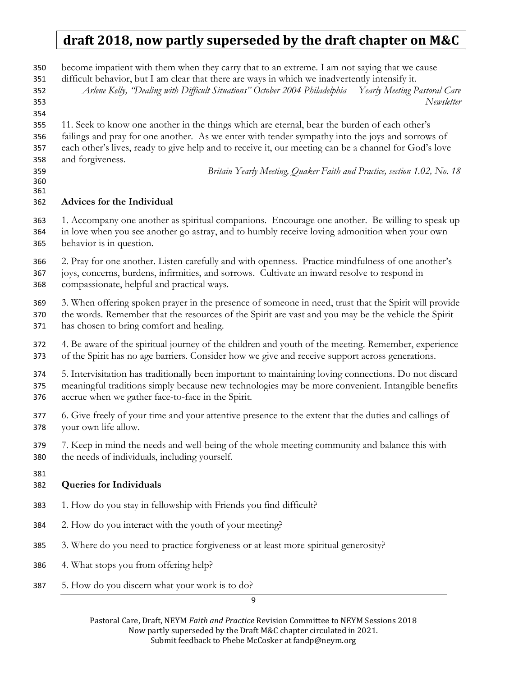become impatient with them when they carry that to an extreme. I am not saying that we cause

difficult behavior, but I am clear that there are ways in which we inadvertently intensify it.

Arlene Kelly, "Dealing with Difficult Situations" October 2004 Philadelphia Yearly Meeting Pastoral Care Newsletter

11. Seek to know one another in the things which are eternal, bear the burden of each other's

failings and pray for one another. As we enter with tender sympathy into the joys and sorrows of each other's lives, ready to give help and to receive it, our meeting can be a channel for God's love

and forgiveness.

 

Britain Yearly Meeting, Quaker Faith and Practice, section 1.02, No. 18

#### Advices for the Individual

1. Accompany one another as spiritual companions. Encourage one another. Be willing to speak up in love when you see another go astray, and to humbly receive loving admonition when your own behavior is in question.

2. Pray for one another. Listen carefully and with openness. Practice mindfulness of one another's joys, concerns, burdens, infirmities, and sorrows. Cultivate an inward resolve to respond in compassionate, helpful and practical ways.

3. When offering spoken prayer in the presence of someone in need, trust that the Spirit will provide the words. Remember that the resources of the Spirit are vast and you may be the vehicle the Spirit

- has chosen to bring comfort and healing.
- 4. Be aware of the spiritual journey of the children and youth of the meeting. Remember, experience of the Spirit has no age barriers. Consider how we give and receive support across generations.

5. Intervisitation has traditionally been important to maintaining loving connections. Do not discard meaningful traditions simply because new technologies may be more convenient. Intangible benefits accrue when we gather face-to-face in the Spirit.

6. Give freely of your time and your attentive presence to the extent that the duties and callings of your own life allow.

7. Keep in mind the needs and well-being of the whole meeting community and balance this with the needs of individuals, including yourself.

### Queries for Individuals

- 1. How do you stay in fellowship with Friends you find difficult?
- 2. How do you interact with the youth of your meeting?
- 3. Where do you need to practice forgiveness or at least more spiritual generosity?
- 4. What stops you from offering help?
- 5. How do you discern what your work is to do?

 $\overline{Q}$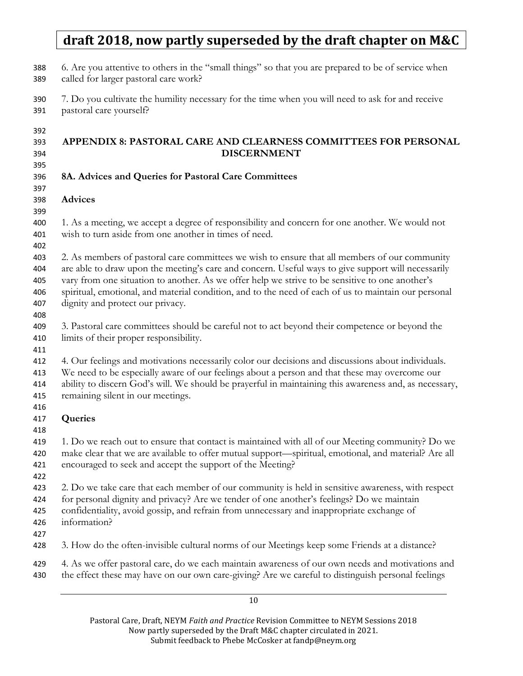6. Are you attentive to others in the "small things" so that you are prepared to be of service when called for larger pastoral care work? 7. Do you cultivate the humility necessary for the time when you will need to ask for and receive pastoral care yourself? APPENDIX 8: PASTORAL CARE AND CLEARNESS COMMITTEES FOR PERSONAL DISCERNMENT 8A. Advices and Queries for Pastoral Care Committees Advices 1. As a meeting, we accept a degree of responsibility and concern for one another. We would not wish to turn aside from one another in times of need. 2. As members of pastoral care committees we wish to ensure that all members of our community are able to draw upon the meeting's care and concern. Useful ways to give support will necessarily vary from one situation to another. As we offer help we strive to be sensitive to one another's spiritual, emotional, and material condition, and to the need of each of us to maintain our personal dignity and protect our privacy. 3. Pastoral care committees should be careful not to act beyond their competence or beyond the limits of their proper responsibility. 4. Our feelings and motivations necessarily color our decisions and discussions about individuals. We need to be especially aware of our feelings about a person and that these may overcome our ability to discern God's will. We should be prayerful in maintaining this awareness and, as necessary, remaining silent in our meetings. Queries 1. Do we reach out to ensure that contact is maintained with all of our Meeting community? Do we make clear that we are available to offer mutual support—spiritual, emotional, and material? Are all encouraged to seek and accept the support of the Meeting? 2. Do we take care that each member of our community is held in sensitive awareness, with respect for personal dignity and privacy? Are we tender of one another's feelings? Do we maintain confidentiality, avoid gossip, and refrain from unnecessary and inappropriate exchange of information? 3. How do the often-invisible cultural norms of our Meetings keep some Friends at a distance? 4. As we offer pastoral care, do we each maintain awareness of our own needs and motivations and the effect these may have on our own care-giving? Are we careful to distinguish personal feelings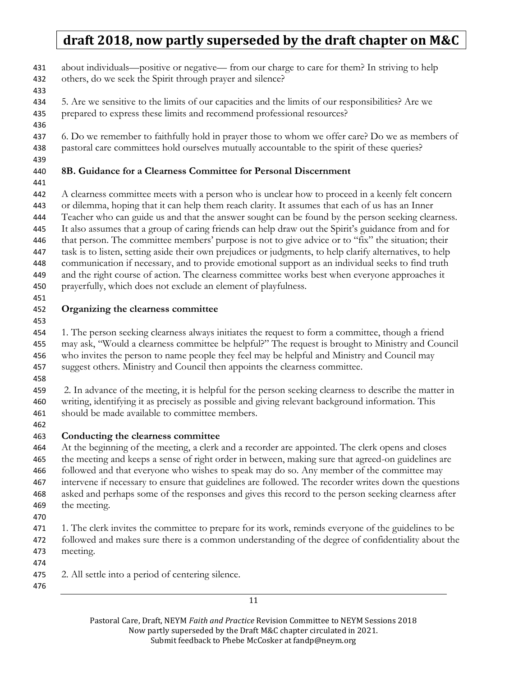about individuals—positive or negative— from our charge to care for them? In striving to help

- others, do we seek the Spirit through prayer and silence?
- 
- 5. Are we sensitive to the limits of our capacities and the limits of our responsibilities? Are we prepared to express these limits and recommend professional resources?
- 

437 6. Do we remember to faithfully hold in prayer those to whom we offer care? Do we as members of pastoral care committees hold ourselves mutually accountable to the spirit of these queries?

### 8B. Guidance for a Clearness Committee for Personal Discernment

A clearness committee meets with a person who is unclear how to proceed in a keenly felt concern or dilemma, hoping that it can help them reach clarity. It assumes that each of us has an Inner Teacher who can guide us and that the answer sought can be found by the person seeking clearness. It also assumes that a group of caring friends can help draw out the Spirit's guidance from and for that person. The committee members' purpose is not to give advice or to "fix" the situation; their task is to listen, setting aside their own prejudices or judgments, to help clarify alternatives, to help communication if necessary, and to provide emotional support as an individual seeks to find truth and the right course of action. The clearness committee works best when everyone approaches it

- prayerfully, which does not exclude an element of playfulness.
- 

#### Organizing the clearness committee

1. The person seeking clearness always initiates the request to form a committee, though a friend may ask, "Would a clearness committee be helpful?" The request is brought to Ministry and Council who invites the person to name people they feel may be helpful and Ministry and Council may suggest others. Ministry and Council then appoints the clearness committee.

459 2. In advance of the meeting, it is helpful for the person seeking clearness to describe the matter in writing, identifying it as precisely as possible and giving relevant background information. This should be made available to committee members.

### Conducting the clearness committee

At the beginning of the meeting, a clerk and a recorder are appointed. The clerk opens and closes the meeting and keeps a sense of right order in between, making sure that agreed-on guidelines are followed and that everyone who wishes to speak may do so. Any member of the committee may intervene if necessary to ensure that guidelines are followed. The recorder writes down the questions asked and perhaps some of the responses and gives this record to the person seeking clearness after the meeting.

- 
- 1. The clerk invites the committee to prepare for its work, reminds everyone of the guidelines to be followed and makes sure there is a common understanding of the degree of confidentiality about the meeting.
- 
- 2. All settle into a period of centering silence.
-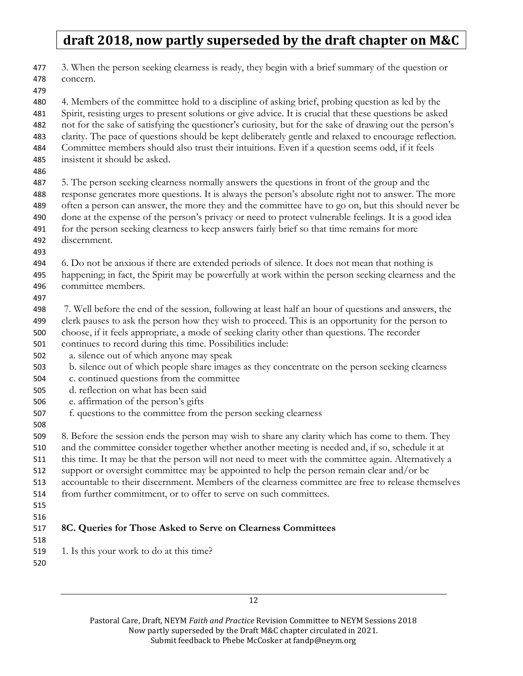3. When the person seeking clearness is ready, they begin with a brief summary of the question or concern. 4. Members of the committee hold to a discipline of asking brief, probing question as led by the Spirit, resisting urges to present solutions or give advice. It is crucial that these questions be asked not for the sake of satisfying the questioner's curiosity, but for the sake of drawing out the person's clarity. The pace of questions should be kept deliberately gentle and relaxed to encourage reflection. Committee members should also trust their intuitions. Even if a question seems odd, if it feels insistent it should be asked. 5. The person seeking clearness normally answers the questions in front of the group and the response generates more questions. It is always the person's absolute right not to answer. The more often a person can answer, the more they and the committee have to go on, but this should never be done at the expense of the person's privacy or need to protect vulnerable feelings. It is a good idea for the person seeking clearness to keep answers fairly brief so that time remains for more discernment. 6. Do not be anxious if there are extended periods of silence. It does not mean that nothing is happening; in fact, the Spirit may be powerfully at work within the person seeking clearness and the committee members. 7. Well before the end of the session, following at least half an hour of questions and answers, the clerk pauses to ask the person how they wish to proceed. This is an opportunity for the person to choose, if it feels appropriate, a mode of seeking clarity other than questions. The recorder continues to record during this time. Possibilities include: a. silence out of which anyone may speak b. silence out of which people share images as they concentrate on the person seeking clearness c. continued questions from the committee d. reflection on what has been said e. affirmation of the person's gifts f. questions to the committee from the person seeking clearness 8. Before the session ends the person may wish to share any clarity which has come to them. They and the committee consider together whether another meeting is needed and, if so, schedule it at this time. It may be that the person will not need to meet with the committee again. Alternatively a support or oversight committee may be appointed to help the person remain clear and/or be accountable to their discernment. Members of the clearness committee are free to release themselves from further commitment, or to offer to serve on such committees. 8C. Queries for Those Asked to Serve on Clearness Committees 519 1. Is this your work to do at this time?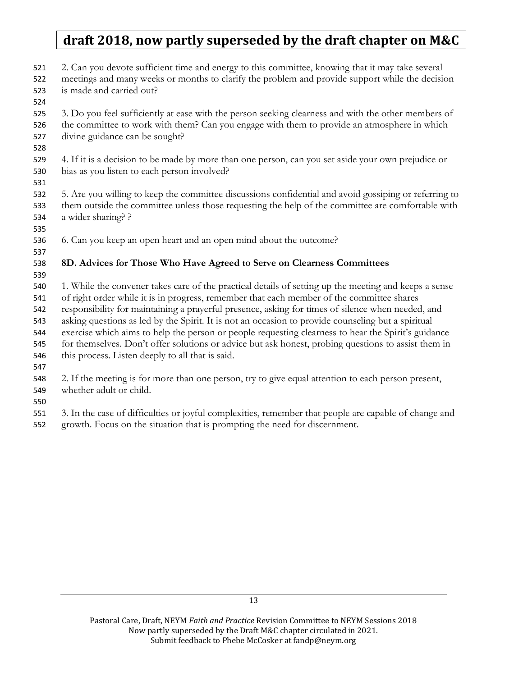- 2. Can you devote sufficient time and energy to this committee, knowing that it may take several
- meetings and many weeks or months to clarify the problem and provide support while the decision is made and carried out?
- 

3. Do you feel sufficiently at ease with the person seeking clearness and with the other members of the committee to work with them? Can you engage with them to provide an atmosphere in which divine guidance can be sought?

- 
- 4. If it is a decision to be made by more than one person, can you set aside your own prejudice or bias as you listen to each person involved?
- 
- 5. Are you willing to keep the committee discussions confidential and avoid gossiping or referring to them outside the committee unless those requesting the help of the committee are comfortable with a wider sharing? ?
- 
- 6. Can you keep an open heart and an open mind about the outcome?

# 8D. Advices for Those Who Have Agreed to Serve on Clearness Committees

1. While the convener takes care of the practical details of setting up the meeting and keeps a sense of right order while it is in progress, remember that each member of the committee shares

- responsibility for maintaining a prayerful presence, asking for times of silence when needed, and
- asking questions as led by the Spirit. It is not an occasion to provide counseling but a spiritual
- exercise which aims to help the person or people requesting clearness to hear the Spirit's guidance
- for themselves. Don't offer solutions or advice but ask honest, probing questions to assist them in
- this process. Listen deeply to all that is said.
- 

2. If the meeting is for more than one person, try to give equal attention to each person present, whether adult or child.

- 
- 3. In the case of difficulties or joyful complexities, remember that people are capable of change and
- growth. Focus on the situation that is prompting the need for discernment.